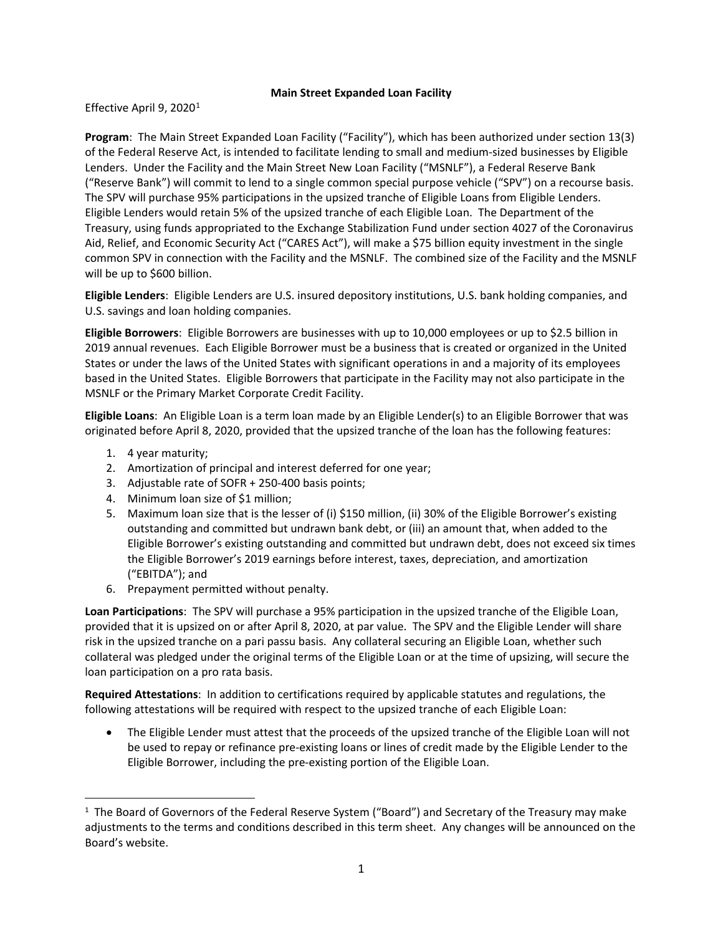## **Main Street Expanded Loan Facility**

Effective April 9, 2020<sup>[1](#page-0-0)</sup>

**Program**: The Main Street Expanded Loan Facility ("Facility"), which has been authorized under section 13(3) of the Federal Reserve Act, is intended to facilitate lending to small and medium-sized businesses by Eligible Lenders. Under the Facility and the Main Street New Loan Facility ("MSNLF"), a Federal Reserve Bank ("Reserve Bank") will commit to lend to a single common special purpose vehicle ("SPV") on a recourse basis. The SPV will purchase 95% participations in the upsized tranche of Eligible Loans from Eligible Lenders. Eligible Lenders would retain 5% of the upsized tranche of each Eligible Loan. The Department of the Treasury, using funds appropriated to the Exchange Stabilization Fund under section 4027 of the Coronavirus Aid, Relief, and Economic Security Act ("CARES Act"), will make a \$75 billion equity investment in the single common SPV in connection with the Facility and the MSNLF. The combined size of the Facility and the MSNLF will be up to \$600 billion.

**Eligible Lenders**: Eligible Lenders are U.S. insured depository institutions, U.S. bank holding companies, and U.S. savings and loan holding companies.

**Eligible Borrowers**: Eligible Borrowers are businesses with up to 10,000 employees or up to \$2.5 billion in 2019 annual revenues. Each Eligible Borrower must be a business that is created or organized in the United States or under the laws of the United States with significant operations in and a majority of its employees based in the United States. Eligible Borrowers that participate in the Facility may not also participate in the MSNLF or the Primary Market Corporate Credit Facility.

**Eligible Loans**: An Eligible Loan is a term loan made by an Eligible Lender(s) to an Eligible Borrower that was originated before April 8, 2020, provided that the upsized tranche of the loan has the following features:

- 1. 4 year maturity;
- 2. Amortization of principal and interest deferred for one year;
- 3. Adjustable rate of SOFR + 250-400 basis points;
- 4. Minimum loan size of \$1 million;
- 5. Maximum loan size that is the lesser of (i) \$150 million, (ii) 30% of the Eligible Borrower's existing outstanding and committed but undrawn bank debt, or (iii) an amount that, when added to the Eligible Borrower's existing outstanding and committed but undrawn debt, does not exceed six times the Eligible Borrower's 2019 earnings before interest, taxes, depreciation, and amortization ("EBITDA"); and
- 6. Prepayment permitted without penalty.

**Loan Participations**: The SPV will purchase a 95% participation in the upsized tranche of the Eligible Loan, provided that it is upsized on or after April 8, 2020, at par value. The SPV and the Eligible Lender will share risk in the upsized tranche on a pari passu basis. Any collateral securing an Eligible Loan, whether such collateral was pledged under the original terms of the Eligible Loan or at the time of upsizing, will secure the loan participation on a pro rata basis.

**Required Attestations**: In addition to certifications required by applicable statutes and regulations, the following attestations will be required with respect to the upsized tranche of each Eligible Loan:

• The Eligible Lender must attest that the proceeds of the upsized tranche of the Eligible Loan will not be used to repay or refinance pre-existing loans or lines of credit made by the Eligible Lender to the Eligible Borrower, including the pre-existing portion of the Eligible Loan.

<span id="page-0-0"></span> $\overline{1}$  $1$  The Board of Governors of the Federal Reserve System ("Board") and Secretary of the Treasury may make adjustments to the terms and conditions described in this term sheet. Any changes will be announced on the Board's website.